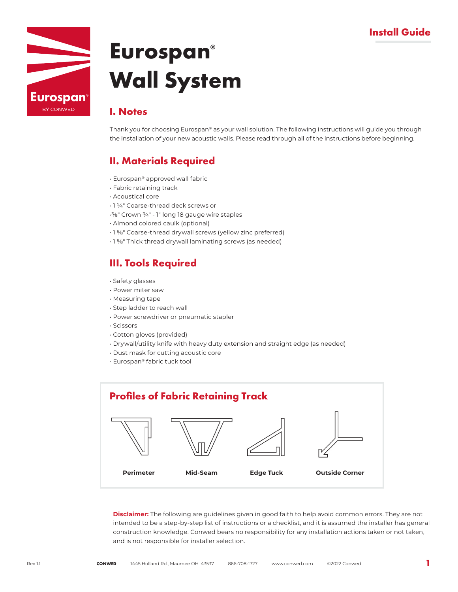

### **I. Notes**

Thank you for choosing Eurospan® as your wall solution. The following instructions will guide you through the installation of your new acoustic walls. Please read through all of the instructions before beginning.

## **II. Materials Required**

- Eurospan® approved wall fabric
- Fabric retaining track
- Acoustical core
- 1 ¼" Coarse-thread deck screws or
- •⅜" Crown ¾" 1" long 18 gauge wire staples
- Almond colored caulk (optional)
- 1 ⅝" Coarse-thread drywall screws (yellow zinc preferred)
- 1 ⅝" Thick thread drywall laminating screws (as needed)

## **III. Tools Required**

- Safety glasses
- Power miter saw
- Measuring tape
- Step ladder to reach wall
- Power screwdriver or pneumatic stapler
- Scissors
- Cotton gloves (provided)
- Drywall/utility knife with heavy duty extension and straight edge (as needed)
- Dust mask for cutting acoustic core
- Eurospan® fabric tuck tool



**Disclaimer:** The following are guidelines given in good faith to help avoid common errors. They are not intended to be a step-by-step list of instructions or a checklist, and it is assumed the installer has general construction knowledge. Conwed bears no responsibility for any installation actions taken or not taken, and is not responsible for installer selection.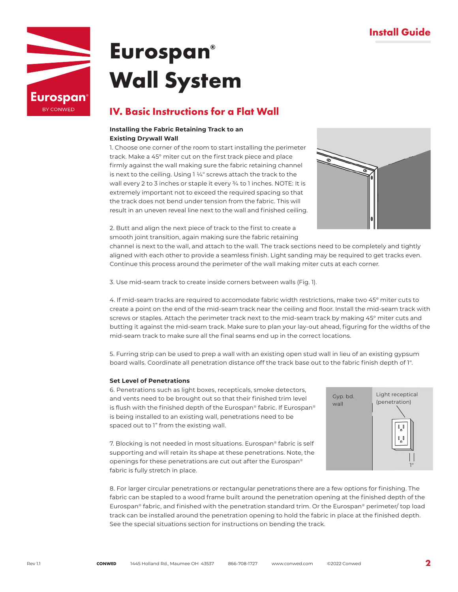

### **IV. Basic Instructions for a Flat Wall**

### **Installing the Fabric Retaining Track to an Existing Drywall Wall**

1. Choose one corner of the room to start installing the perimeter track. Make a 45° miter cut on the first track piece and place firmly against the wall making sure the fabric retaining channel is next to the ceiling. Using 1 ¼" screws attach the track to the wall every 2 to 3 inches or staple it every ¾ to 1 inches. NOTE: It is extremely important not to exceed the required spacing so that the track does not bend under tension from the fabric. This will result in an uneven reveal line next to the wall and finished ceiling.



2. Butt and align the next piece of track to the first to create a smooth joint transition, again making sure the fabric retaining

channel is next to the wall, and attach to the wall. The track sections need to be completely and tightly aligned with each other to provide a seamless finish. Light sanding may be required to get tracks even. Continue this process around the perimeter of the wall making miter cuts at each corner.

3. Use mid-seam track to create inside corners between walls (Fig. 1).

4. If mid-seam tracks are required to accomodate fabric width restrictions, make two 45° miter cuts to create a point on the end of the mid-seam track near the ceiling and floor. Install the mid-seam track with screws or staples. Attach the perimeter track next to the mid-seam track by making 45° miter cuts and butting it against the mid-seam track. Make sure to plan your lay-out ahead, figuring for the widths of the mid-seam track to make sure all the final seams end up in the correct locations.

5. Furring strip can be used to prep a wall with an existing open stud wall in lieu of an existing gypsum board walls. Coordinate all penetration distance off the track base out to the fabric finish depth of 1".

### **Set Level of Penetrations**

6. Penetrations such as light boxes, recepticals, smoke detectors, and vents need to be brought out so that their finished trim level is flush with the finished depth of the Eurospan® fabric. If Eurospan® is being installed to an existing wall, penetrations need to be spaced out to 1" from the existing wall.

7. Blocking is not needed in most situations. Eurospan® fabric is self supporting and will retain its shape at these penetrations. Note, the openings for these penetrations are cut out after the Eurospan® fabric is fully stretch in place.



8. For larger circular penetrations or rectangular penetrations there are a few options for finishing. The fabric can be stapled to a wood frame built around the penetration opening at the finished depth of the Eurospan® fabric, and finished with the penetration standard trim. Or the Eurospan® perimeter/ top load track can be installed around the penetration opening to hold the fabric in place at the finished depth. See the special situations section for instructions on bending the track.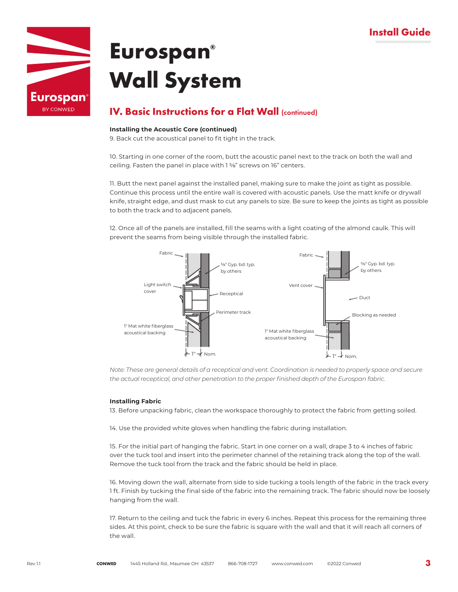## **Install Guide**



## **Eurospan® Wall System**

## **IV. Basic Instructions for a Flat Wall** (continued)

### **Installing the Acoustic Core (continued)**

9. Back cut the acoustical panel to fit tight in the track.

10. Starting in one corner of the room, butt the acoustic panel next to the track on both the wall and ceiling. Fasten the panel in place with 1 %" screws on 16" centers.

11. Butt the next panel against the installed panel, making sure to make the joint as tight as possible. Continue this process until the entire wall is covered with acoustic panels. Use the matt knife or drywall knife, straight edge, and dust mask to cut any panels to size. Be sure to keep the joints as tight as possible to both the track and to adjacent panels.

12. Once all of the panels are installed, fill the seams with a light coating of the almond caulk. This will prevent the seams from being visible through the installed fabric.



*Note: These are general details of a receptical and vent. Coordination is needed to properly space and secure the actual receptical, and other penetration to the proper finished depth of the Eurospan fabric.*

### **Installing Fabric**

13. Before unpacking fabric, clean the workspace thoroughly to protect the fabric from getting soiled.

14. Use the provided white gloves when handling the fabric during installation.

15. For the initial part of hanging the fabric. Start in one corner on a wall, drape 3 to 4 inches of fabric over the tuck tool and insert into the perimeter channel of the retaining track along the top of the wall. Remove the tuck tool from the track and the fabric should be held in place.

16. Moving down the wall, alternate from side to side tucking a tools length of the fabric in the track every 1 ft. Finish by tucking the final side of the fabric into the remaining track. The fabric should now be loosely hanging from the wall.

17. Return to the ceiling and tuck the fabric in every 6 inches. Repeat this process for the remaining three sides. At this point, check to be sure the fabric is square with the wall and that it will reach all corners of the wall.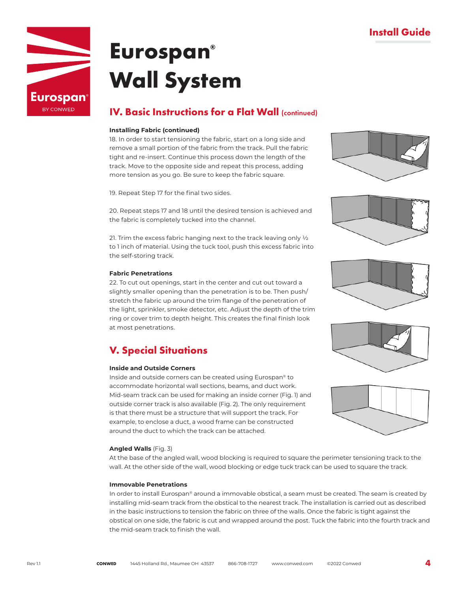

### **IV. Basic Instructions for a Flat Wall (continued)**

### **Installing Fabric (continued)**

18. In order to start tensioning the fabric, start on a long side and remove a small portion of the fabric from the track. Pull the fabric tight and re-insert. Continue this process down the length of the track. Move to the opposite side and repeat this process, adding more tension as you go. Be sure to keep the fabric square.

19. Repeat Step 17 for the final two sides.

20. Repeat steps 17 and 18 until the desired tension is achieved and the fabric is completely tucked into the channel.

21. Trim the excess fabric hanging next to the track leaving only ½ to 1 inch of material. Using the tuck tool, push this excess fabric into the self-storing track.

### **Fabric Penetrations**

22. To cut out openings, start in the center and cut out toward a slightly smaller opening than the penetration is to be. Then push/ stretch the fabric up around the trim flange of the penetration of the light, sprinkler, smoke detector, etc. Adjust the depth of the trim ring or cover trim to depth height. This creates the final finish look at most penetrations.

## **V. Special Situations**

### **Inside and Outside Corners**

Inside and outside corners can be created using Eurospan® to accommodate horizontal wall sections, beams, and duct work. Mid-seam track can be used for making an inside corner (Fig. 1) and outside corner track is also available (Fig. 2). The only requirement is that there must be a structure that will support the track. For example, to enclose a duct, a wood frame can be constructed around the duct to which the track can be attached.

### **Angled Walls** (Fig. 3)

At the base of the angled wall, wood blocking is required to square the perimeter tensioning track to the wall. At the other side of the wall, wood blocking or edge tuck track can be used to square the track.

### **Immovable Penetrations**

In order to install Eurospan® around a immovable obstical, a seam must be created. The seam is created by installing mid-seam track from the obstical to the nearest track. The installation is carried out as described in the basic instructions to tension the fabric on three of the walls. Once the fabric is tight against the obstical on one side, the fabric is cut and wrapped around the post. Tuck the fabric into the fourth track and the mid-seam track to finish the wall.